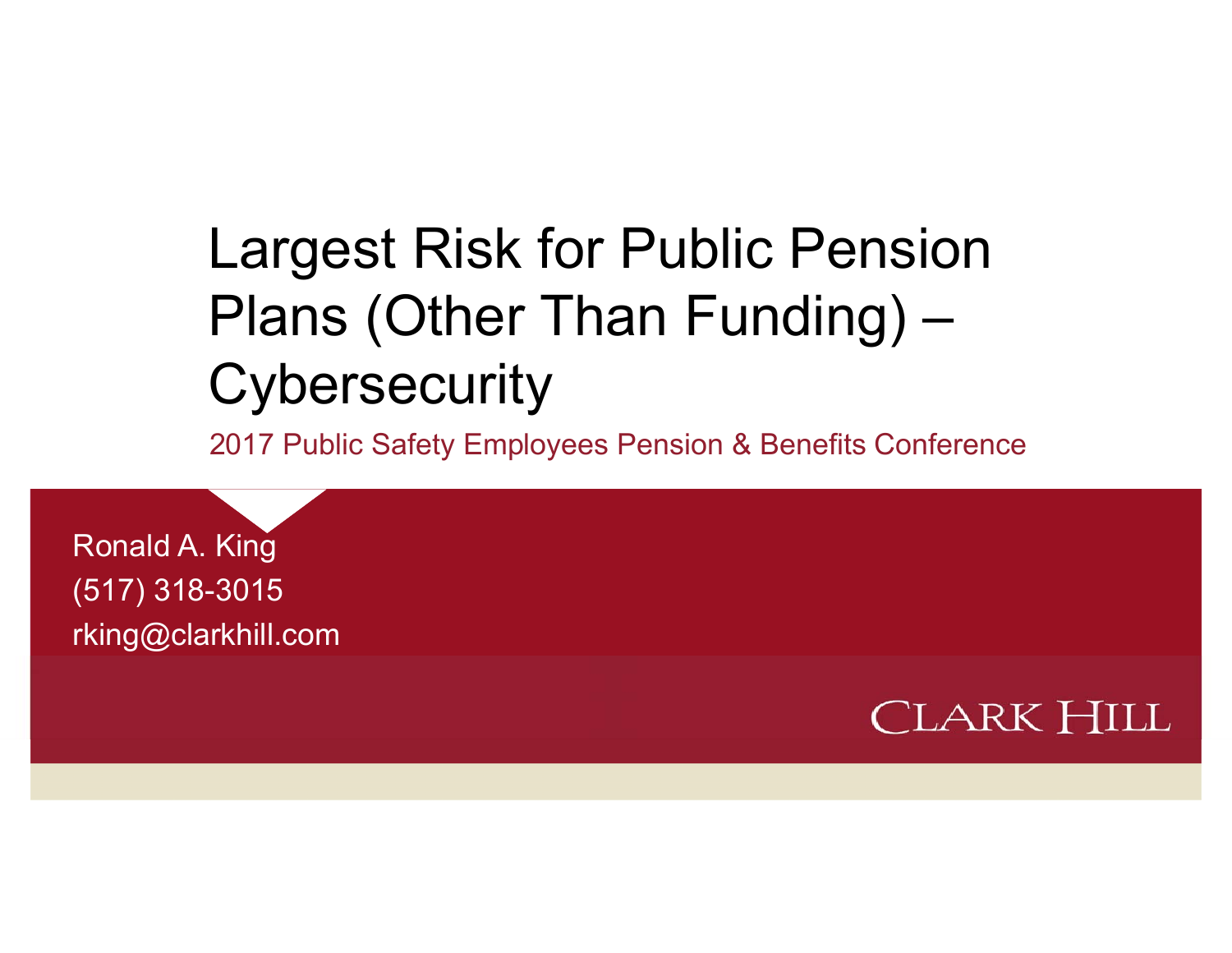# Largest Risk for Public Pension Plans (Other Than Funding) – **Cybersecurity**

2017 Public Safety Employees Pension & Benefits Conference

Ronald A. King (517) 318-3015 rking@clarkhill.com

**CLARK HILL**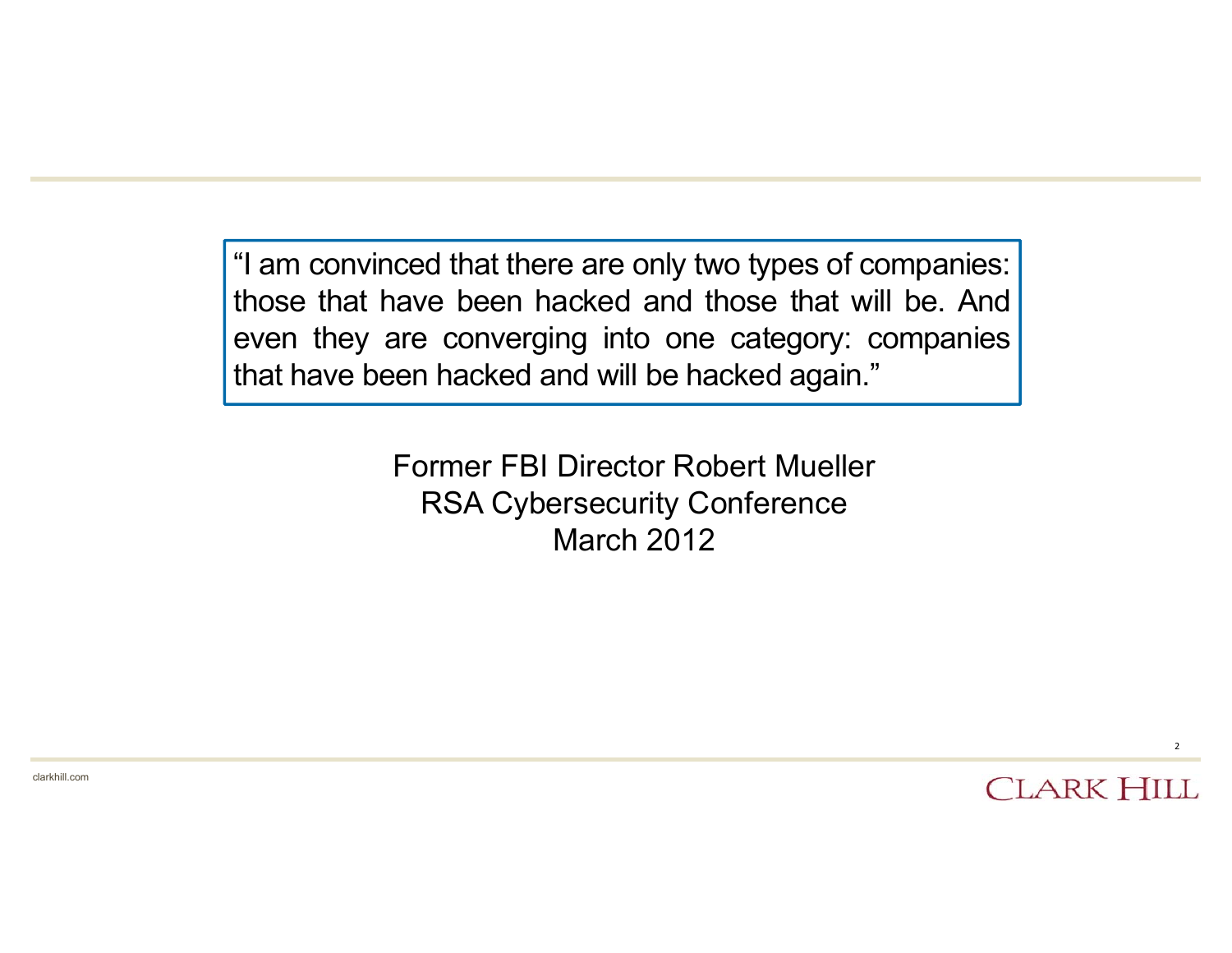"I am convinced that there are only two types of companies: those that have been hacked and those that will be. And even they are converging into one category: companies that have been hacked and will be hacked again."

> Former FBI Director Robert MuellerRSA Cybersecurity Conference March 2012

> > **CLARK HILL**

2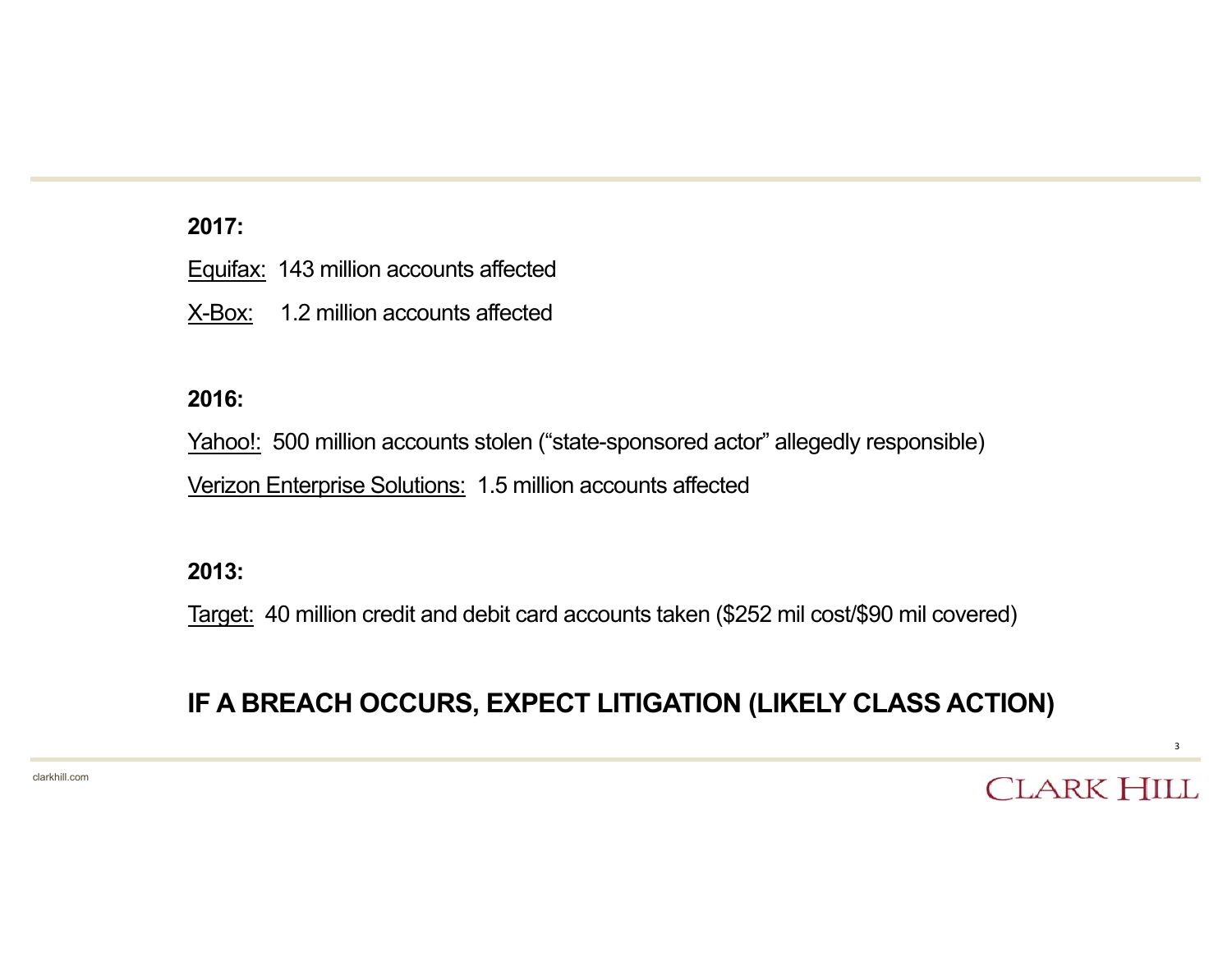#### **2017:**

|  | Equifax: 143 million accounts affected |  |  |
|--|----------------------------------------|--|--|
|--|----------------------------------------|--|--|

X-Box: 1.2 million accounts affected

#### **2016:**

Yahoo!: 500 million accounts stolen ("state-sponsored actor" allegedly responsible) Verizon Enterprise Solutions: 1.5 million accounts affected

#### **2013:**

Target: 40 million credit and debit card accounts taken (\$252 mil cost/\$90 mil covered)

#### **IF A BREACH OCCURS, EXPECT LITIGATION (LIKELY CLASS ACTION)**

clarkhill.com

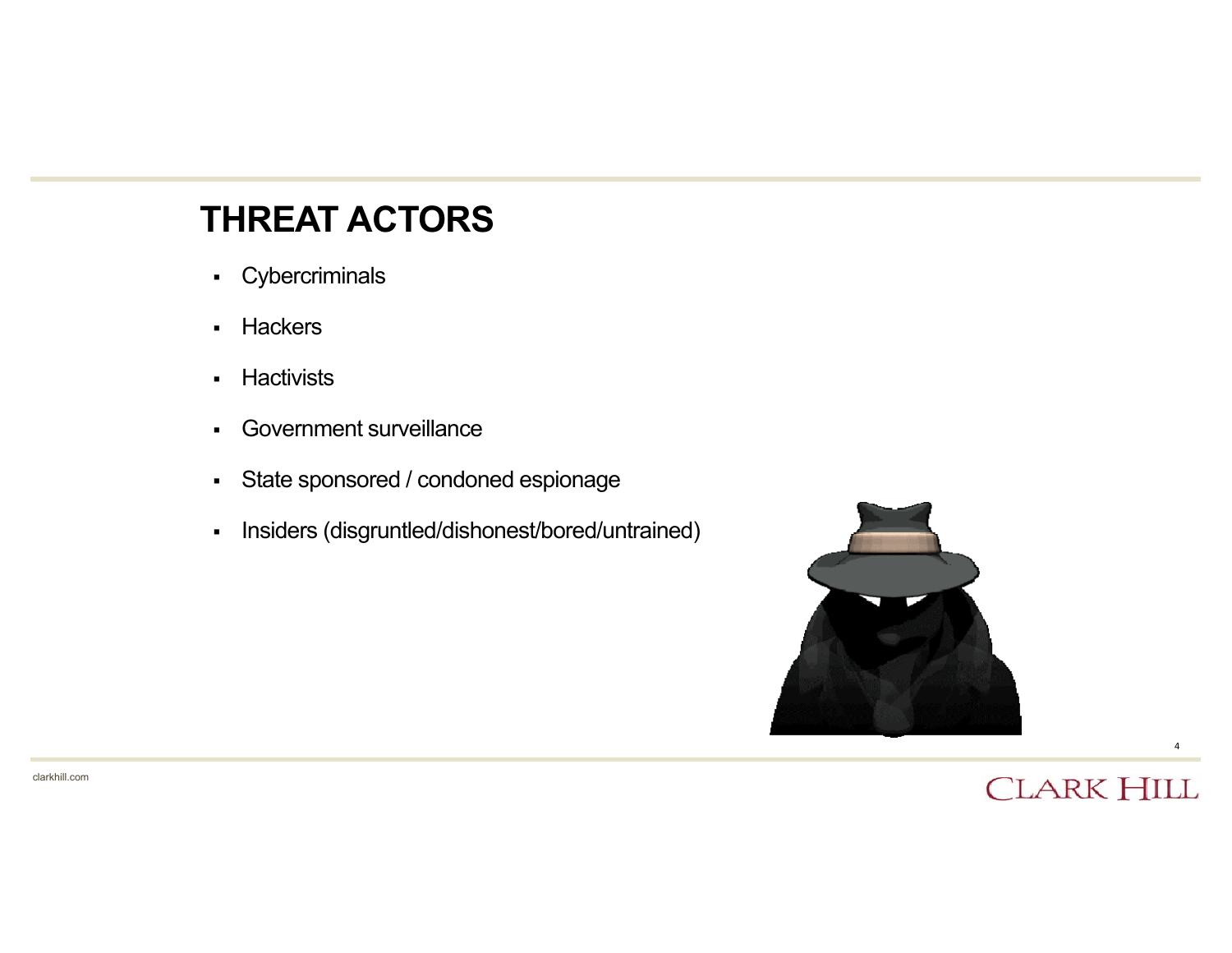#### **THREAT ACTORS**

- Cybercriminals
- $\mathbf{r}$ **Hackers**
- $\mathbf{r}$ **Hactivists**
- $\blacksquare$ Government surveillance
- $\mathbf{r}$  . State sponsored / condoned espionage
- $\blacksquare$ Insiders (disgruntled/dishonest/bored/untrained)



#### **CLARK HILL**

4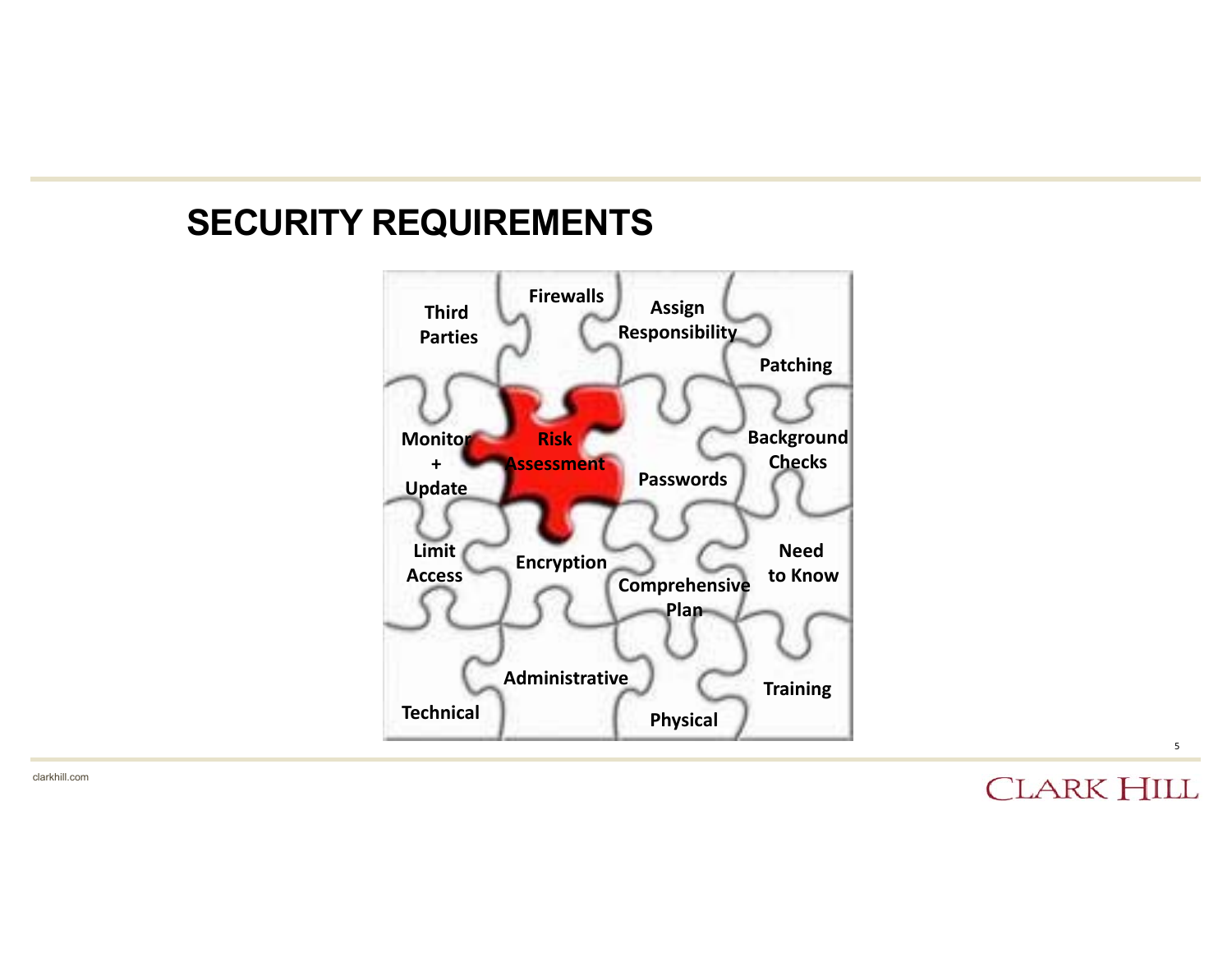#### **SECURITY REQUIREMENTS**



**CLARK HILL** 

5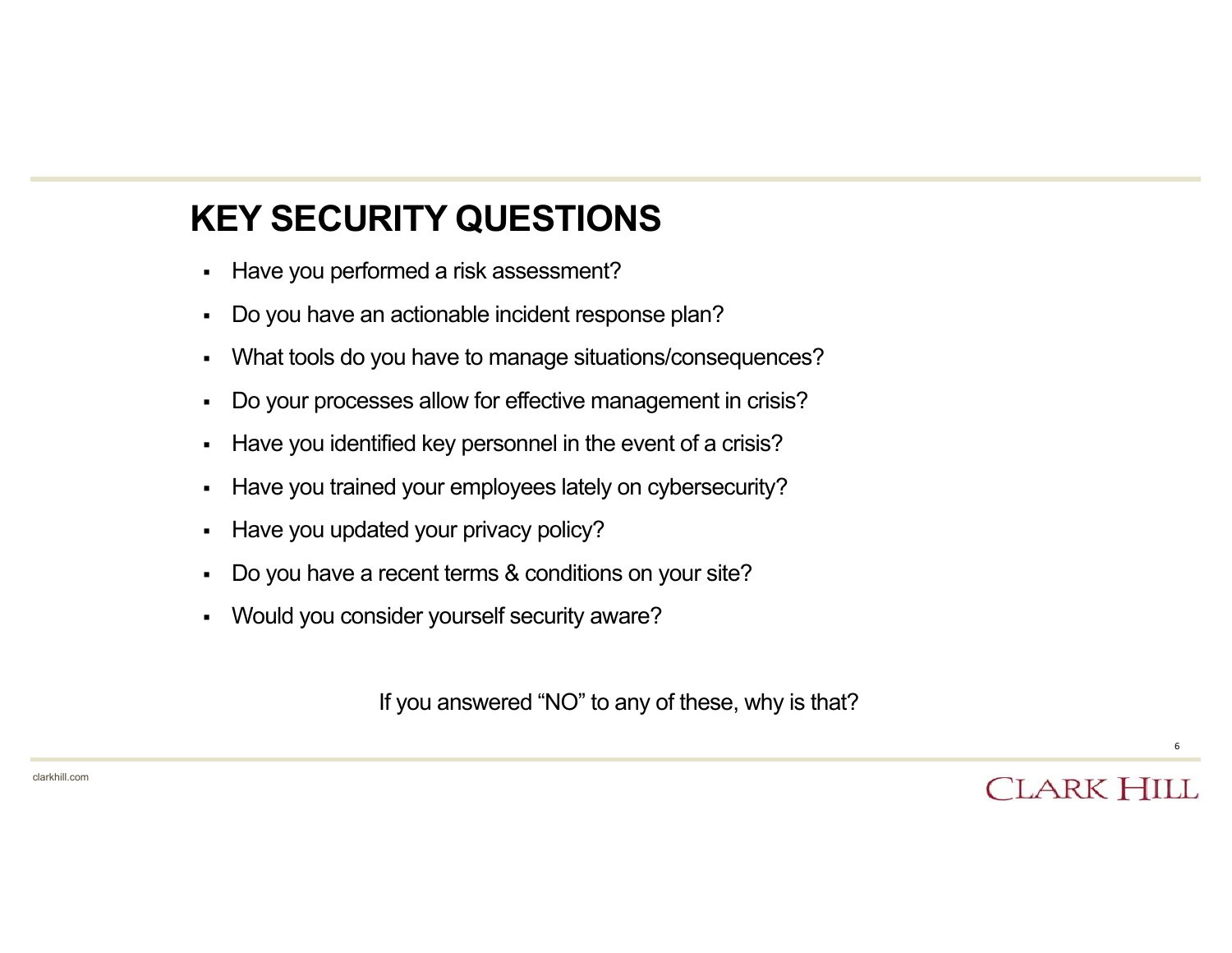# **KEY SECURITY QUESTIONS**

- $\blacksquare$ Have you performed a risk assessment?
- $\blacksquare$ Do you have an actionable incident response plan?
- $\blacksquare$ What tools do you have to manage situations/consequences?
- $\blacksquare$ Do your processes allow for effective management in crisis?
- $\blacksquare$ Have you identified key personnel in the event of a crisis?
- $\blacksquare$ Have you trained your employees lately on cybersecurity?
- $\blacksquare$ Have you updated your privacy policy?
- $\blacksquare$ Do you have a recent terms & conditions on your site?
- $\blacksquare$ Would you consider yourself security aware?

If you answered "NO" to any of these, why is that?

6

**CLARK HILL**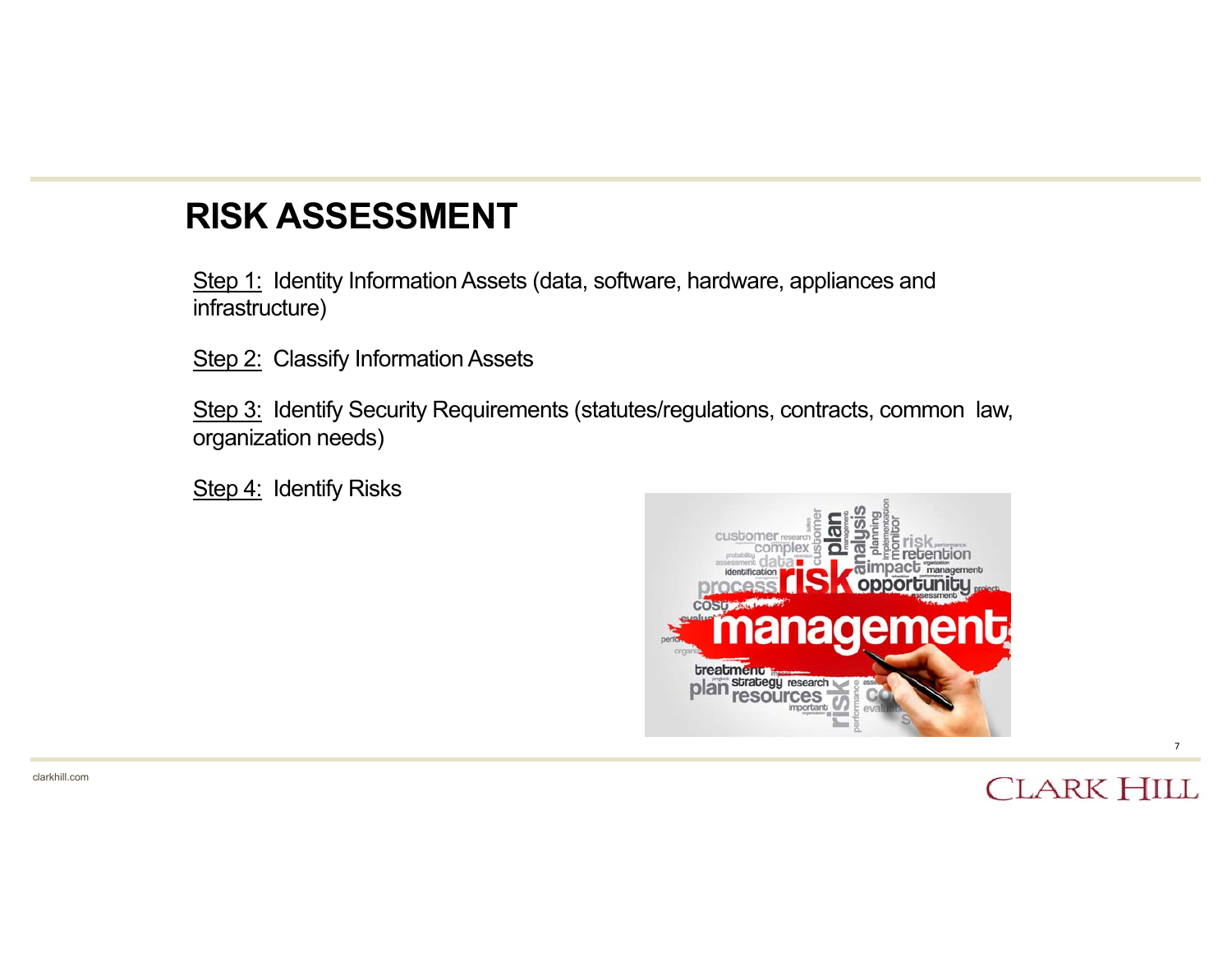### **RISK ASSESSMENT**

Step 1: Identity Information Assets (data, software, hardware, appliances and infrastructure)

Step 2: Classify Information Assets

Step 3: Identify Security Requirements (statutes/regulations, contracts, common law, organization needs)

Step 4: Identify Risks



#### **CLARK HILL**

7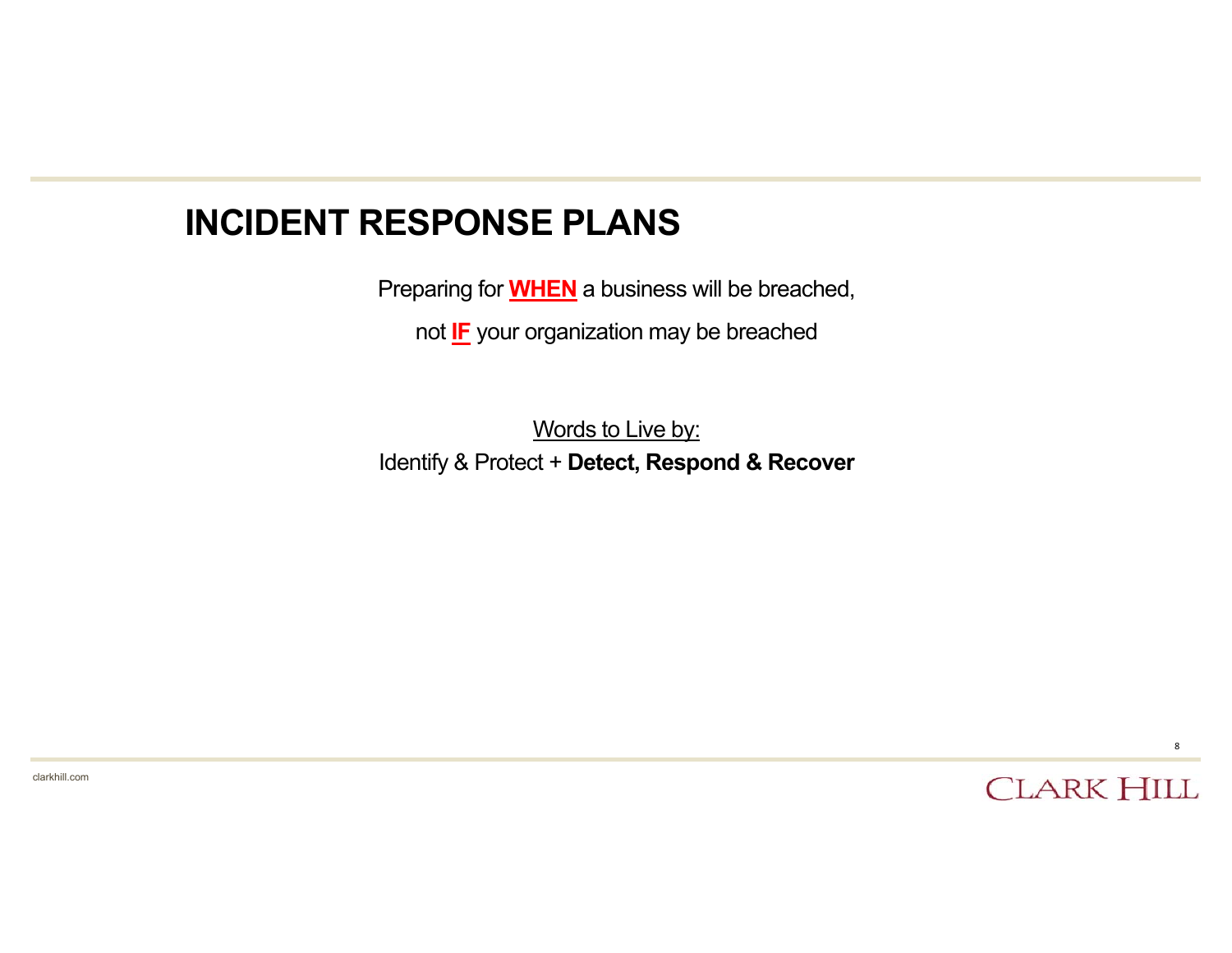#### **INCIDENT RESPONSE PLANS**

Preparing for **WHEN** a business will be breached,

not **IF** your organization may be breached

Words to Live by: Identify & Protect + **Detect, Respond & Recover**

clarkhill.com

**CLARK HILL**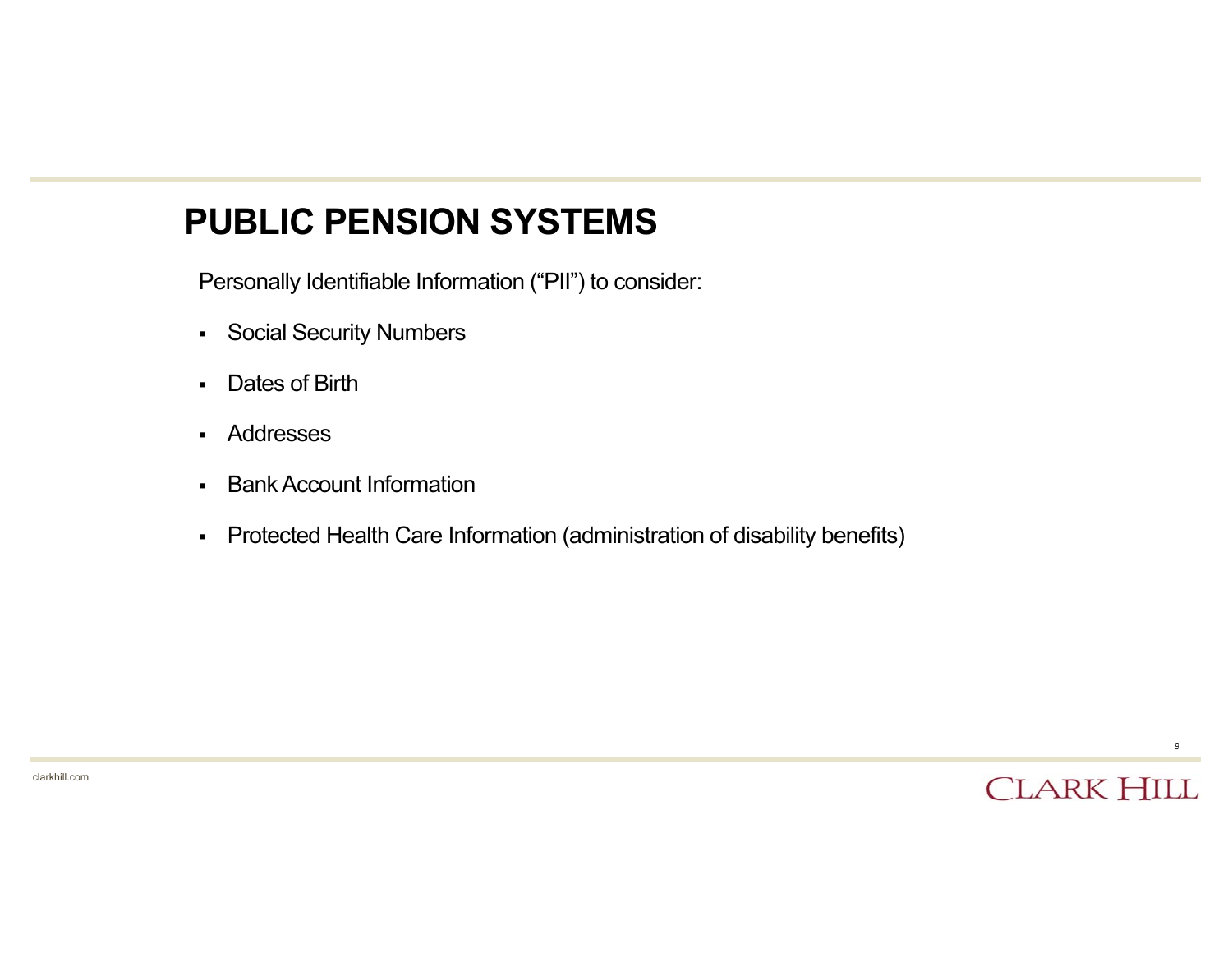#### **PUBLIC PENSION SYSTEMS**

Personally Identifiable Information ("PII") to consider:

- Social Security Numbers
- $\blacksquare$ Dates of Birth
- Addresses
- $\blacksquare$ Bank Account Information
- $\blacksquare$ Protected Health Care Information (administration of disability benefits)



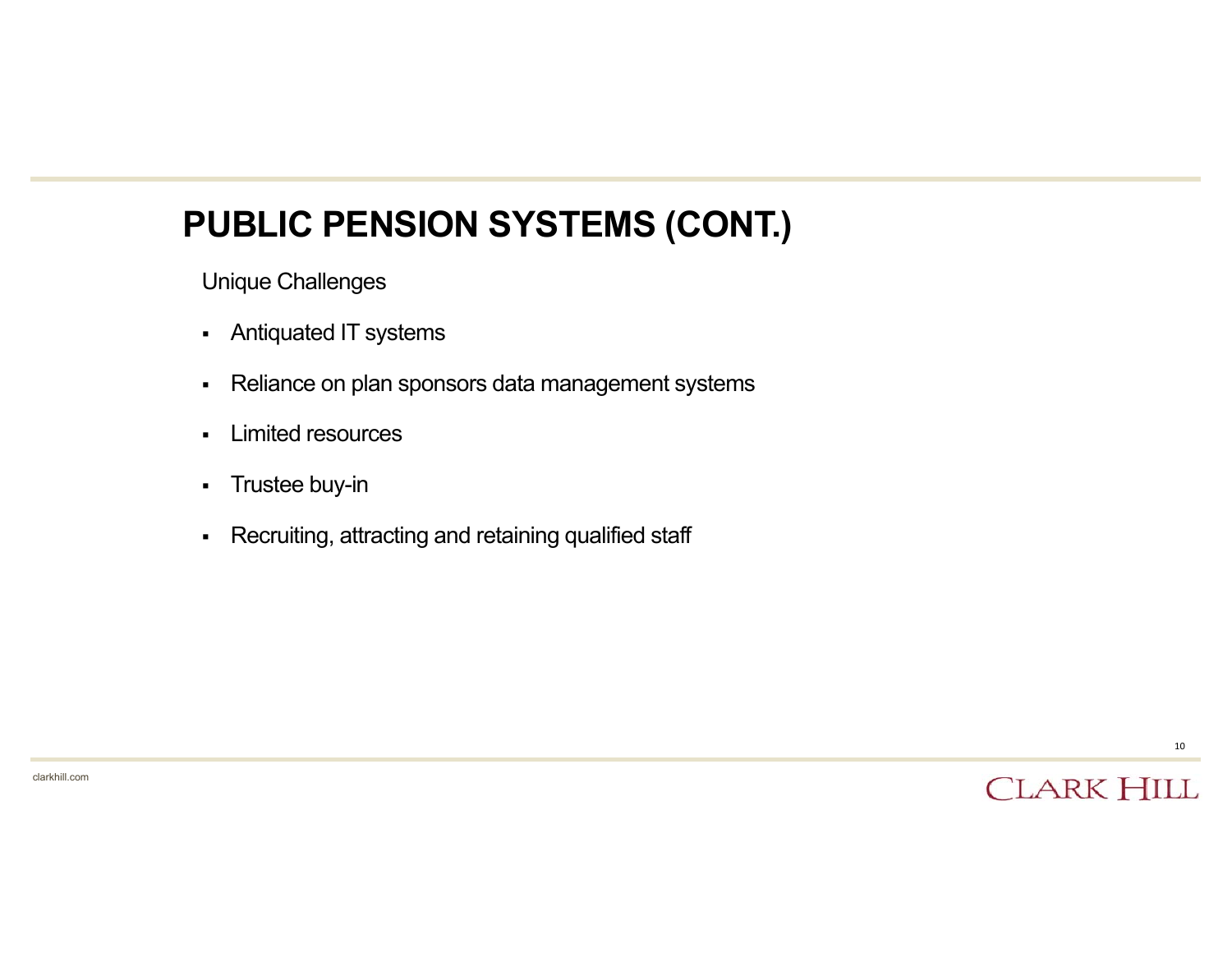#### **PUBLIC PENSION SYSTEMS (CONT.)**

Unique Challenges

- Antiquated IT systems
- $\blacksquare$ Reliance on plan sponsors data management systems
- $\blacksquare$ Limited resources
- $\blacksquare$ Trustee buy-in
- $\blacksquare$ Recruiting, attracting and retaining qualified staff

10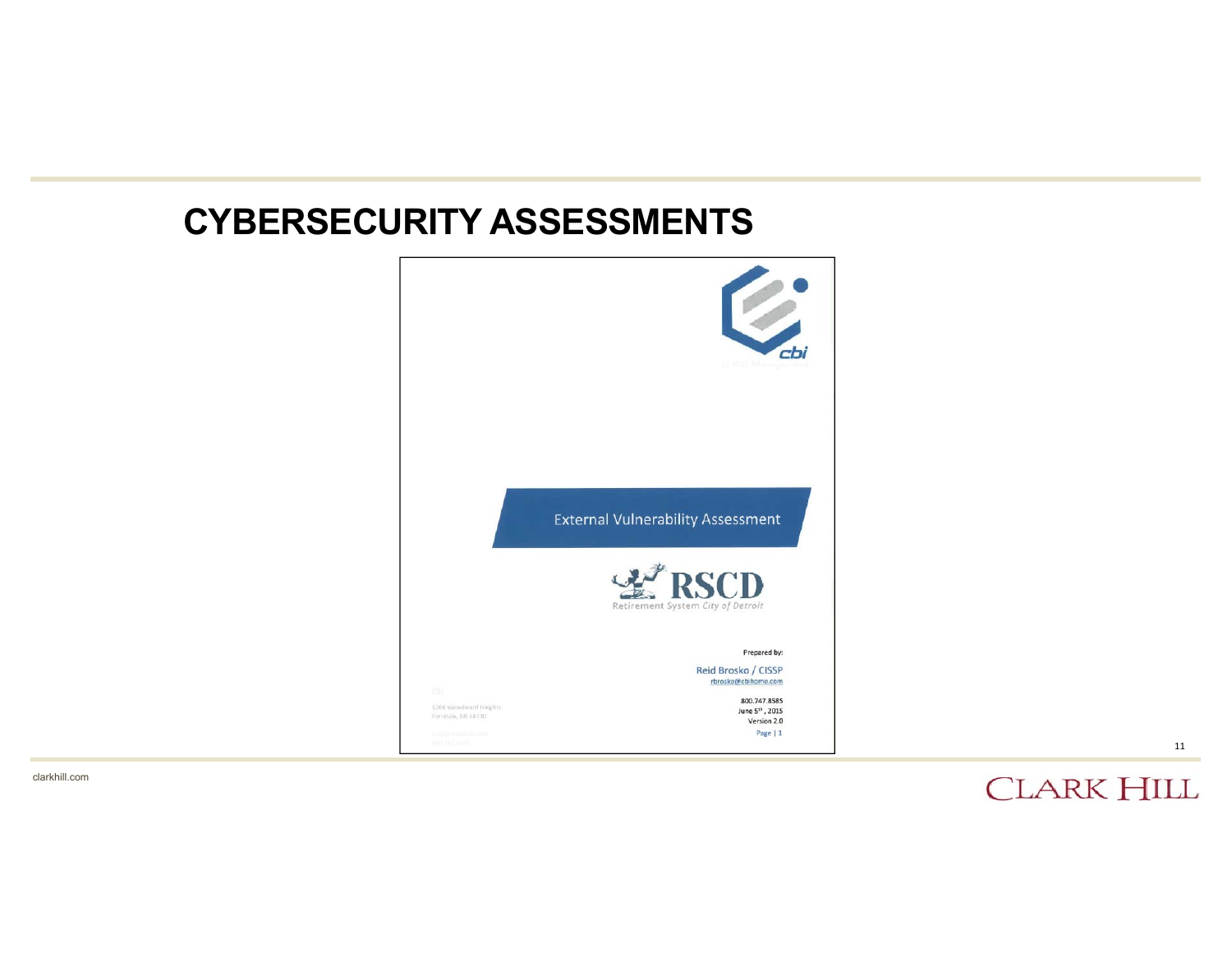#### **CYBERSECURITY ASSESSMENTS**



**CLARK HILL** 

11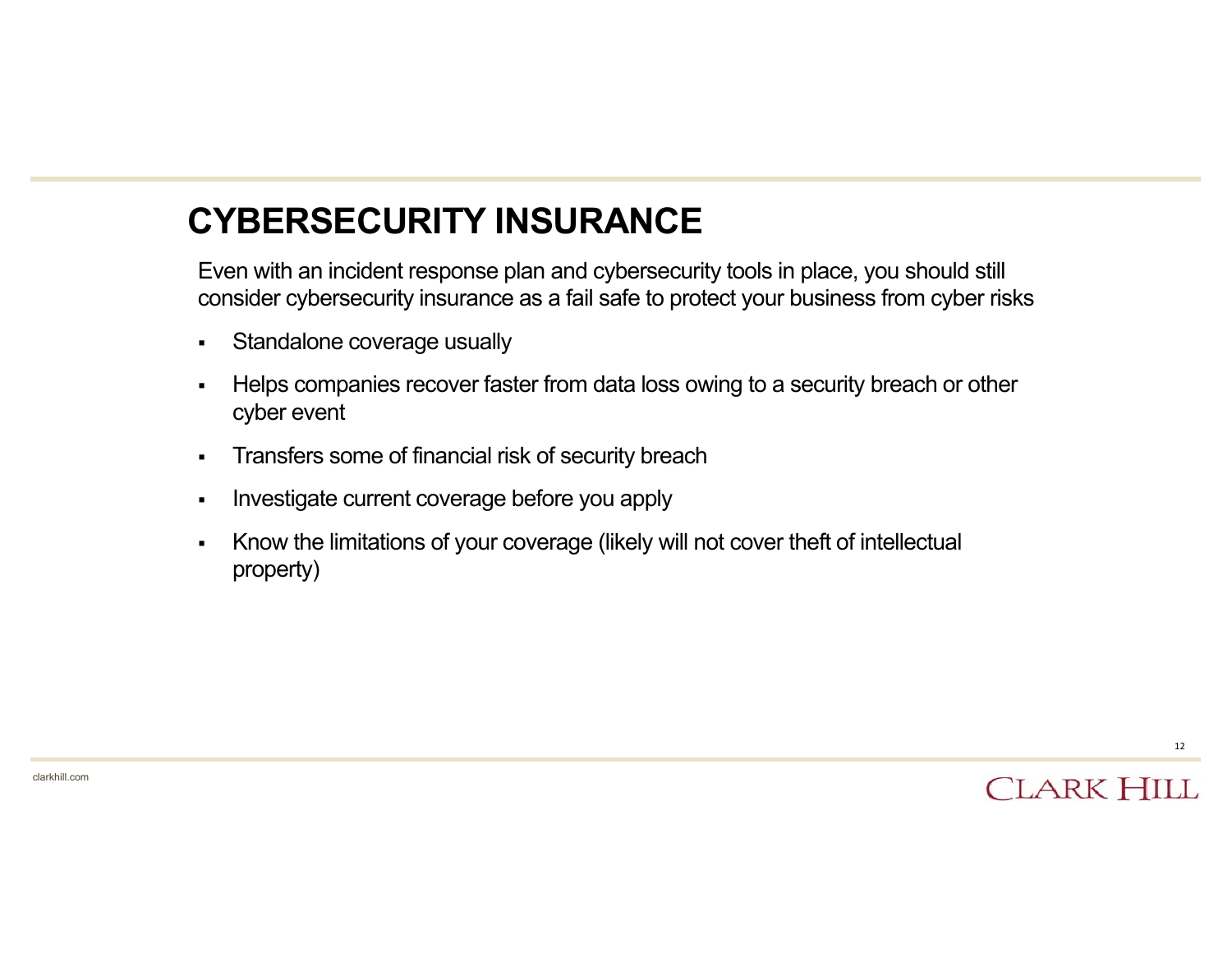## **CYBERSECURITY INSURANCE**

Even with an incident response plan and cybersecurity tools in place, you should still consider cybersecurity insurance as a fail safe to protect your business from cyber risks

- $\blacksquare$ Standalone coverage usually
- П Helps companies recover faster from data loss owing to a security breach or other cyber event
- $\blacksquare$ Transfers some of financial risk of security breach
- Investigate current coverage before you apply
- П Know the limitations of your coverage (likely will not cover theft of intellectual property)



12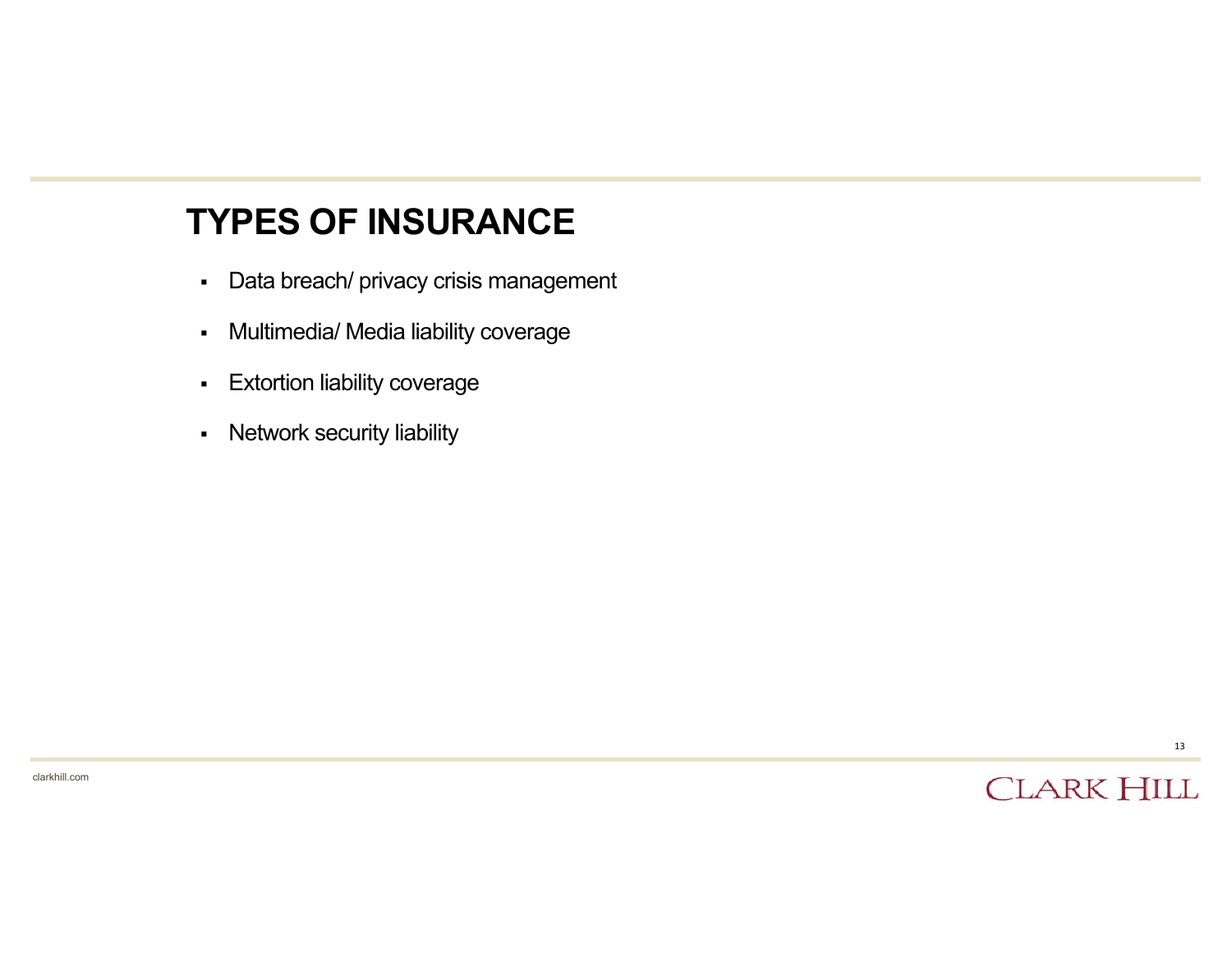#### **TYPES OF INSURANCE**

- Data breach/ privacy crisis management
- $\blacksquare$ Multimedia/ Media liability coverage
- $\blacksquare$ Extortion liability coverage
- $\blacksquare$ Network security liability

13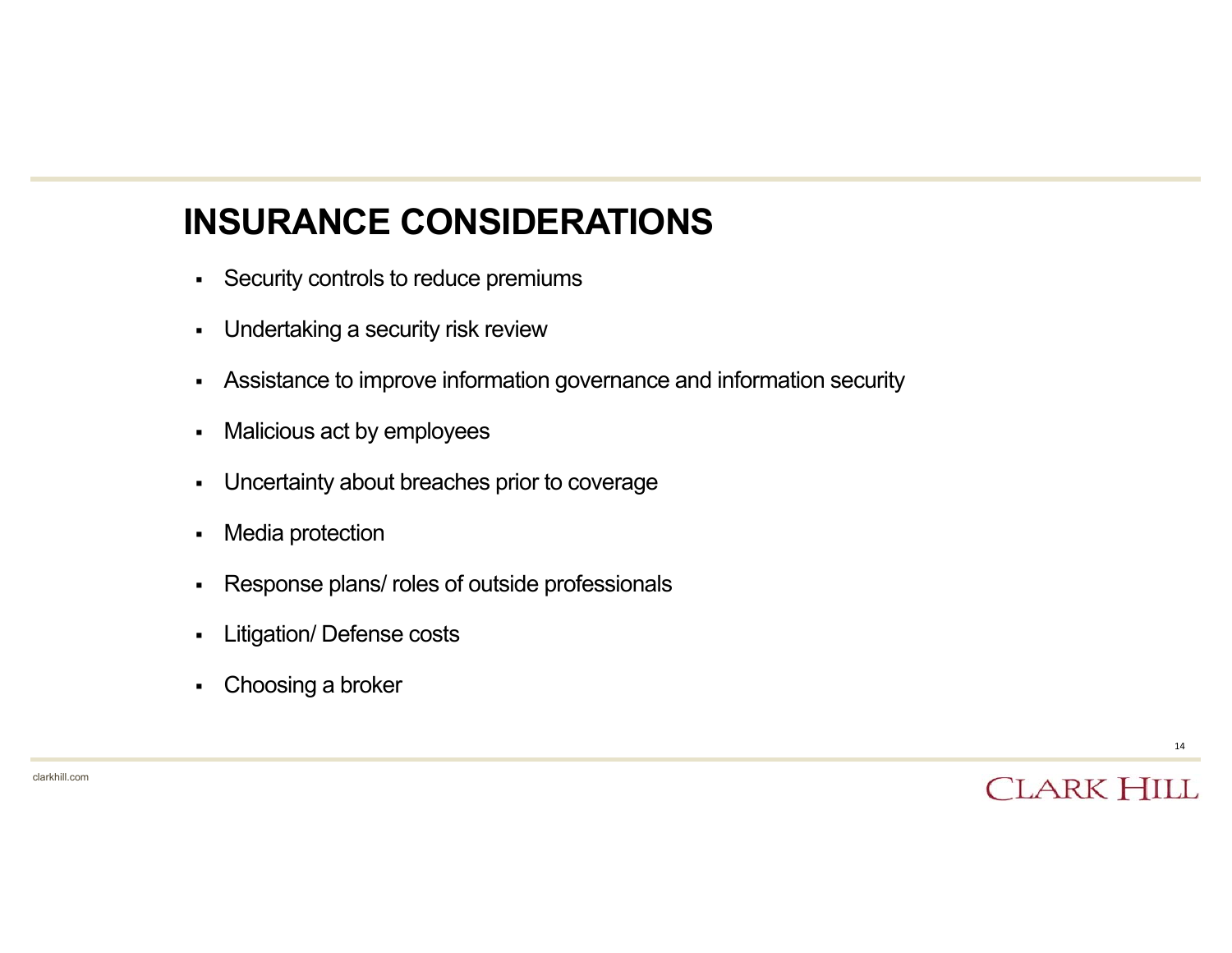## **INSURANCE CONSIDERATIONS**

- $\blacksquare$ Security controls to reduce premiums
- $\blacksquare$ Undertaking <sup>a</sup> security risk review
- $\blacksquare$ Assistance to improve information governance and information security
- $\blacksquare$ Malicious act by employees
- $\blacksquare$ Uncertainty about breaches prior to coverage
- $\blacksquare$ Media protection
- $\blacksquare$ Response plans/ roles of outside professionals
- $\blacksquare$ Litigation/ Defense costs
- $\blacksquare$ Choosing <sup>a</sup> broker

clarkhill.com

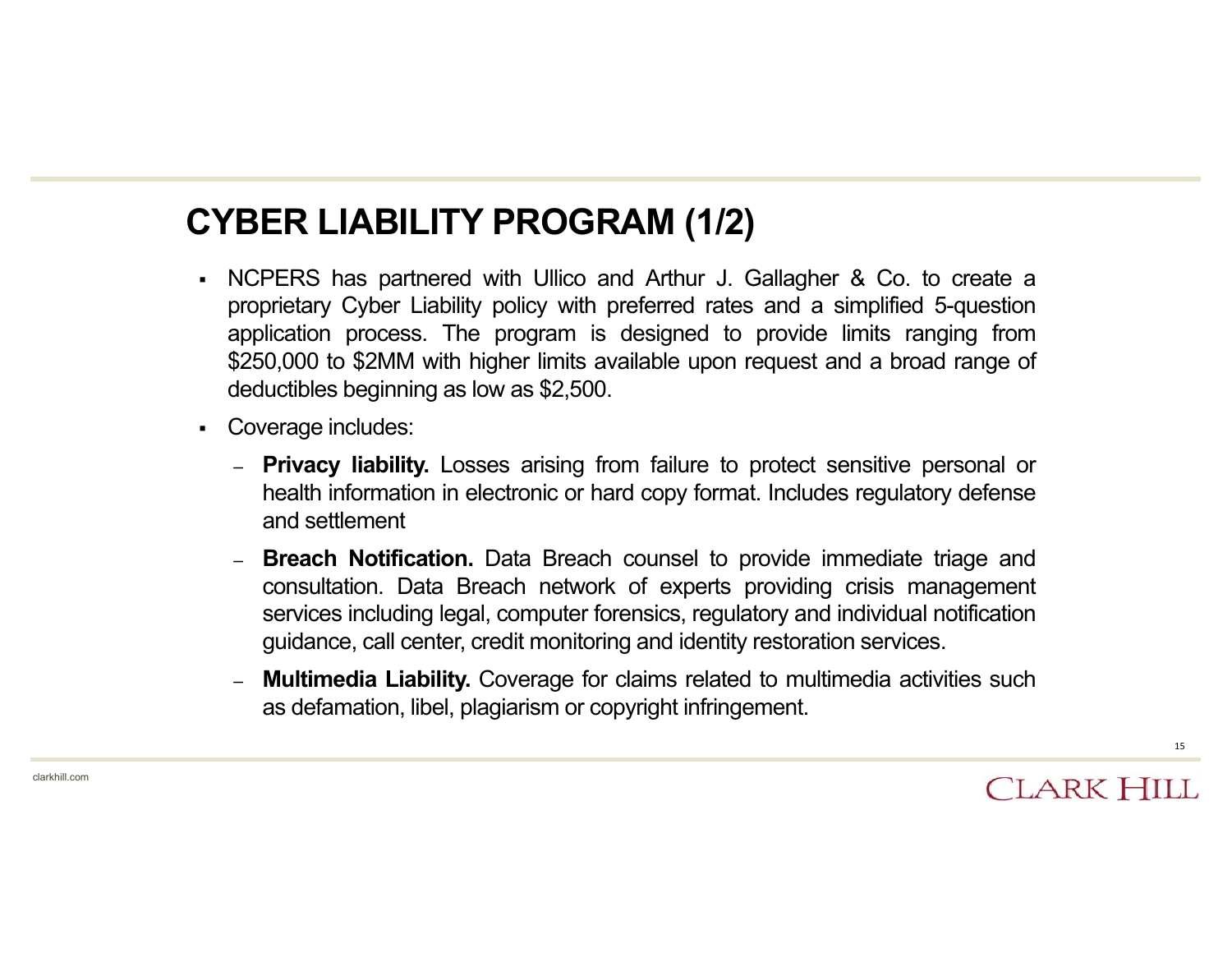### **CYBER LIABILITY PROGRAM (1/2)**

- NCPERS has partnered with Ullico and Arthur J. Gallagher & Co. to create <sup>a</sup> proprietary Cyber Liability policy with preferred rates and <sup>a</sup> simplified 5-question application process. The program is designed to provide limits ranging from \$250,000 to \$2MM with higher limits available upon request and <sup>a</sup> broad range of deductibles beginning as low as \$2,500.
- Coverage includes:
	- **Privacy liability.** Losses arising from failure to protect sensitive personal or health information in electronic or hard copy format. Includes regulatory defense and settlement
	- **Breach Notification.** Data Breach counsel to provide immediate triage and consultation. Data Breach network of experts providing crisis management services including legal, computer forensics, regulatory and individual notification guidance, call center, credit monitoring and identity restoration services.
	- **Multimedia Liability.** Coverage for claims related to multimedia activities such as defamation, libel, plagiarism or copyright infringement.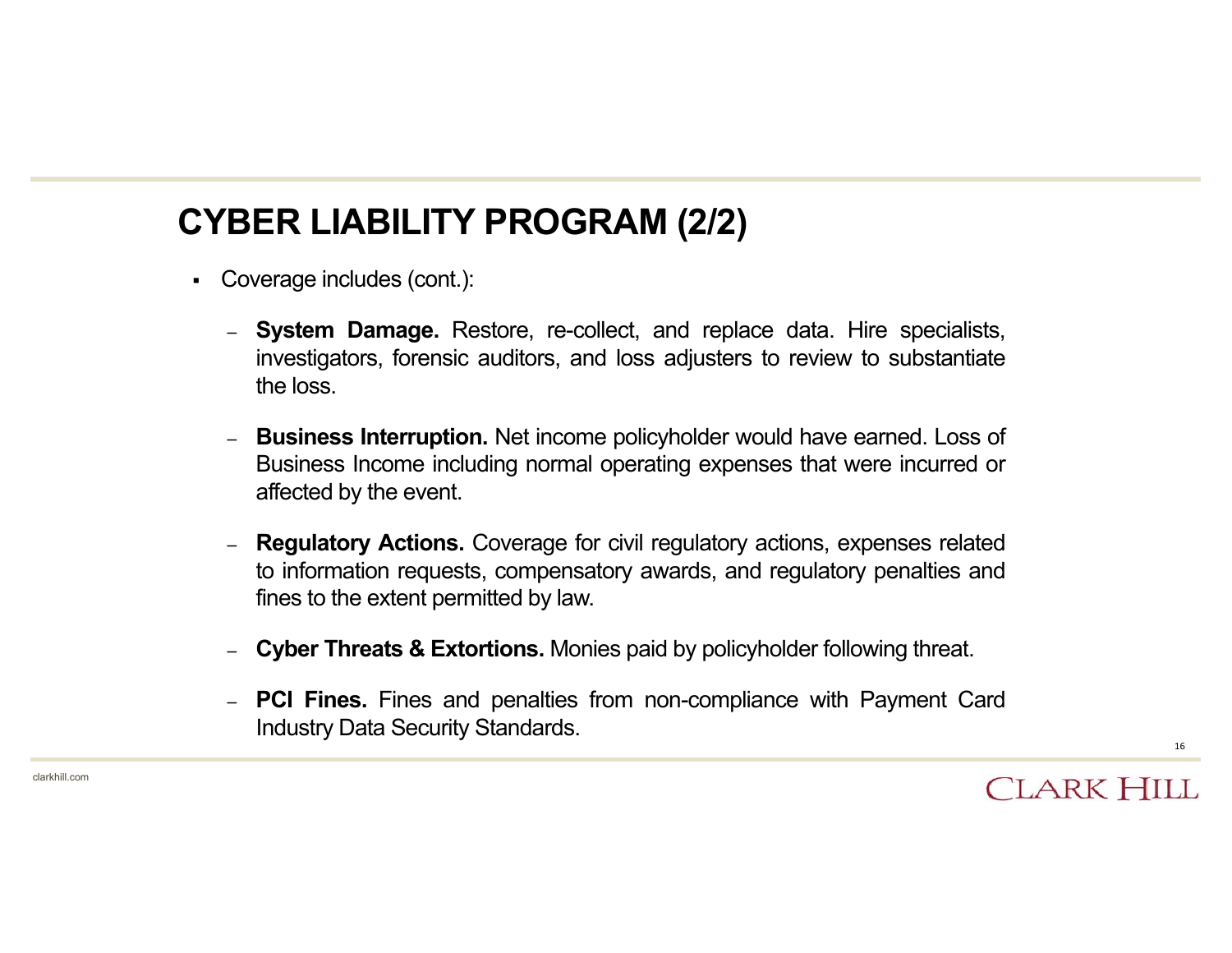## **CYBER LIABILITY PROGRAM (2/2)**

- Coverage includes (cont.):
	- **System Damage.** Restore, re-collect, and replace data. Hire specialists, investigators, forensic auditors, and loss adjusters to review to substantiate the loss.
	- **Business Interruption.** Net income policyholder would have earned. Loss of Business Income including normal operating expenses that were incurred or affected by the event.
	- **Regulatory Actions.** Coverage for civil regulatory actions, expenses related to information requests, compensatory awards, and regulatory penalties and fines to the extent permitted by law.
	- **Cyber Threats & Extortions.** Monies paid by policyholder following threat.
	- **PCI Fines.** Fines and penalties from non-compliance with Payment Card Industry Data Security Standards.

**CLARK HILL**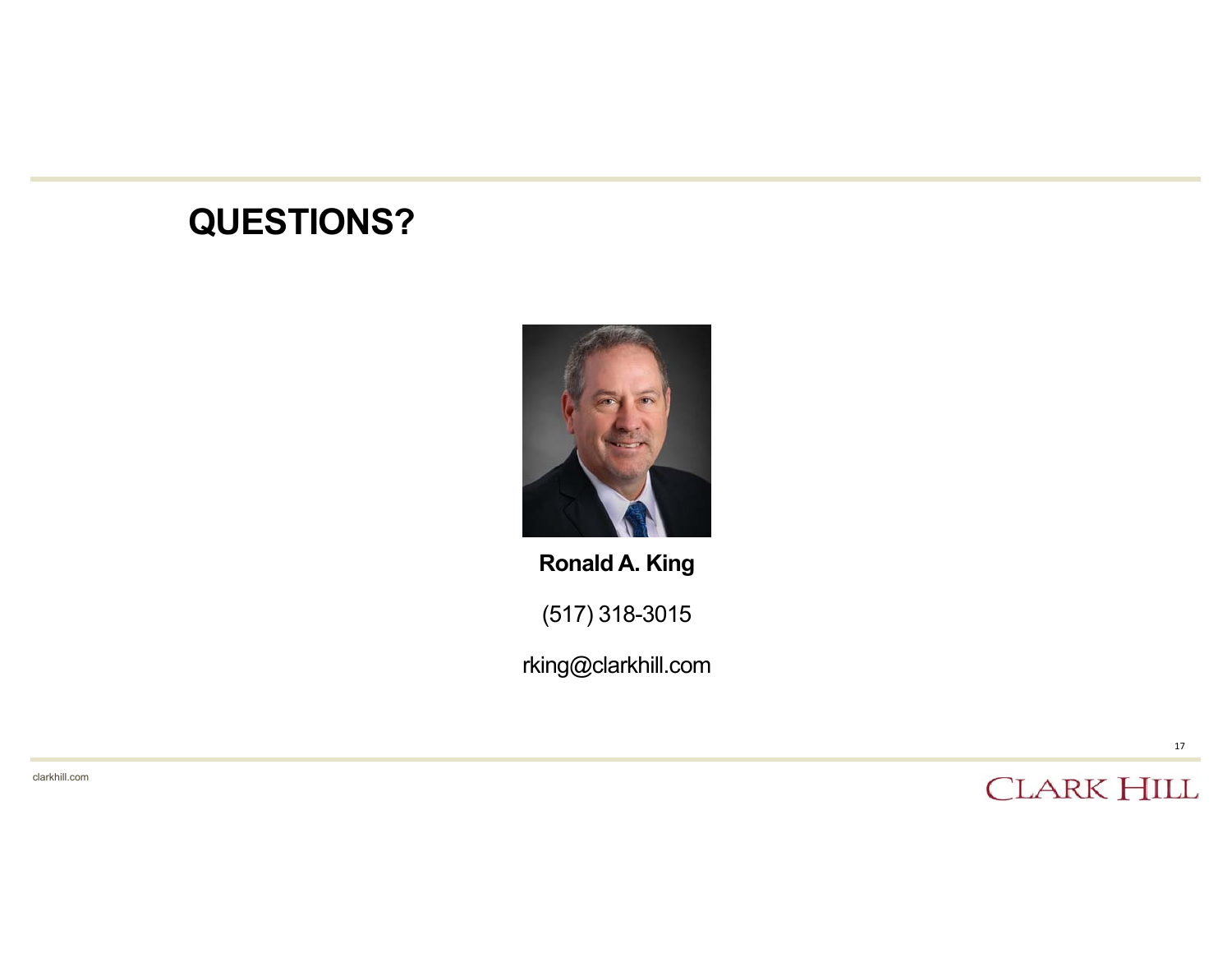# **QUESTIONS?**



**Ronald A. King**

(517) 318-3015

rking@clarkhill.com

clarkhill.com

**CLARK HILL**